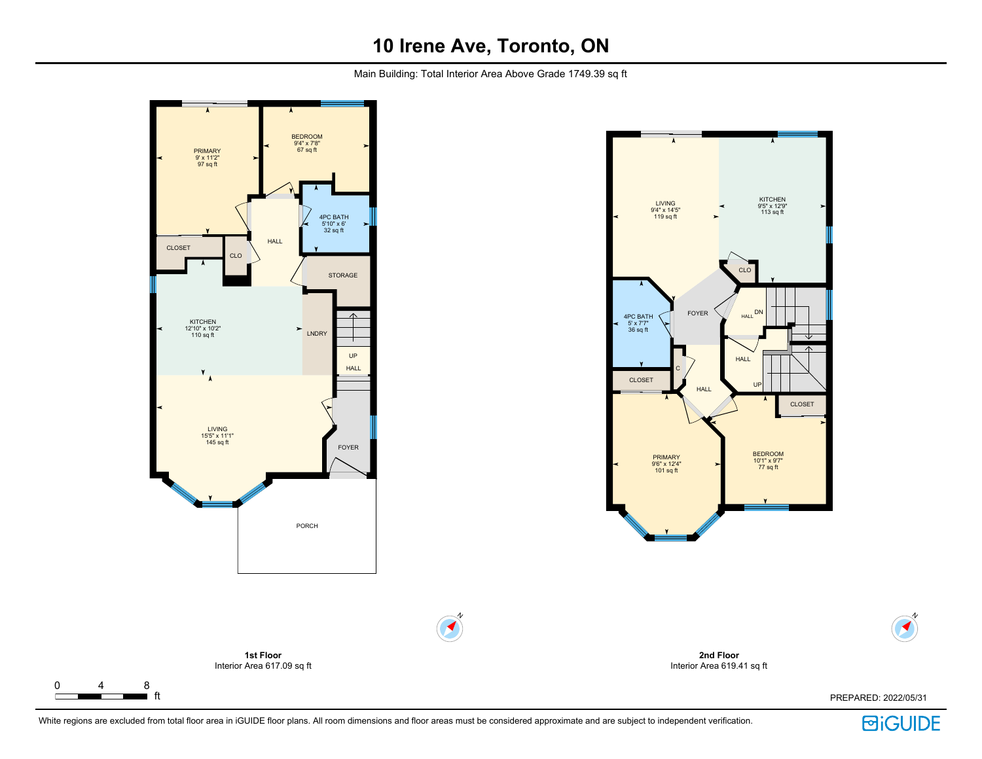Main Building: Total Interior Area Above Grade 1749.39 sq ft



 $\Gamma$ 



**2nd Floor** Interior Area 619.41 sq ft



N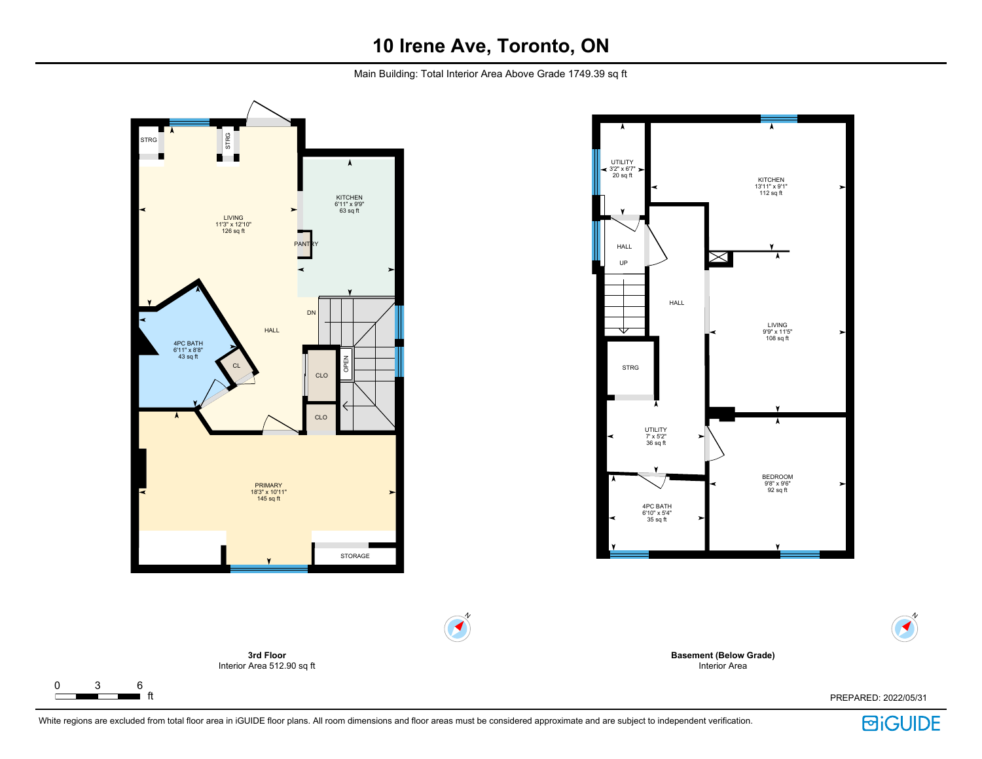Main Building: Total Interior Area Above Grade 1749.39 sq ft



 $\begin{array}{|c|c|c|}\n0 & 3 & 6 \\
\hline\n\end{array}$  ft

 $\Gamma$ 



**Basement (Below Grade)** Interior Area

White regions are excluded from total floor area in iGUIDE floor plans. All room dimensions and floor areas must be considered approximate and are subject to independent verification.

### ft PREPARED: 2022/05/31

**回iGUIDE** 

N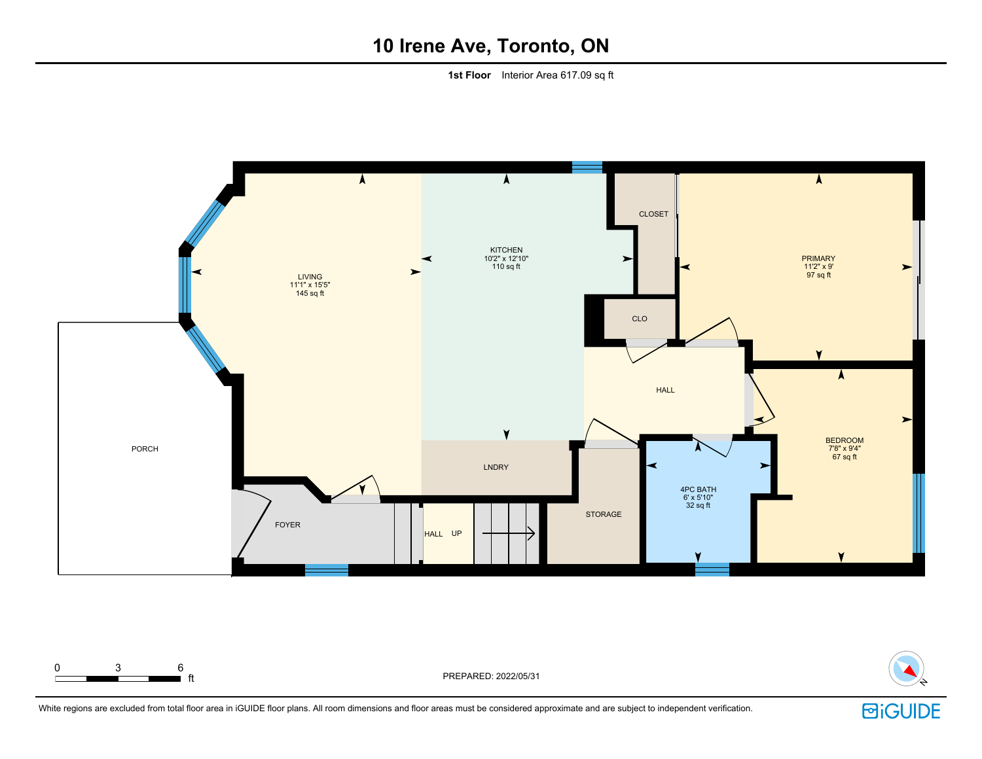**1st Floor** Interior Area 617.09 sq ft





White regions are excluded from total floor area in iGUIDE floor plans. All room dimensions and floor areas must be considered approximate and are subject to independent verification.

0 3 6

FREPARED: 2022/05/31  $\rightarrow$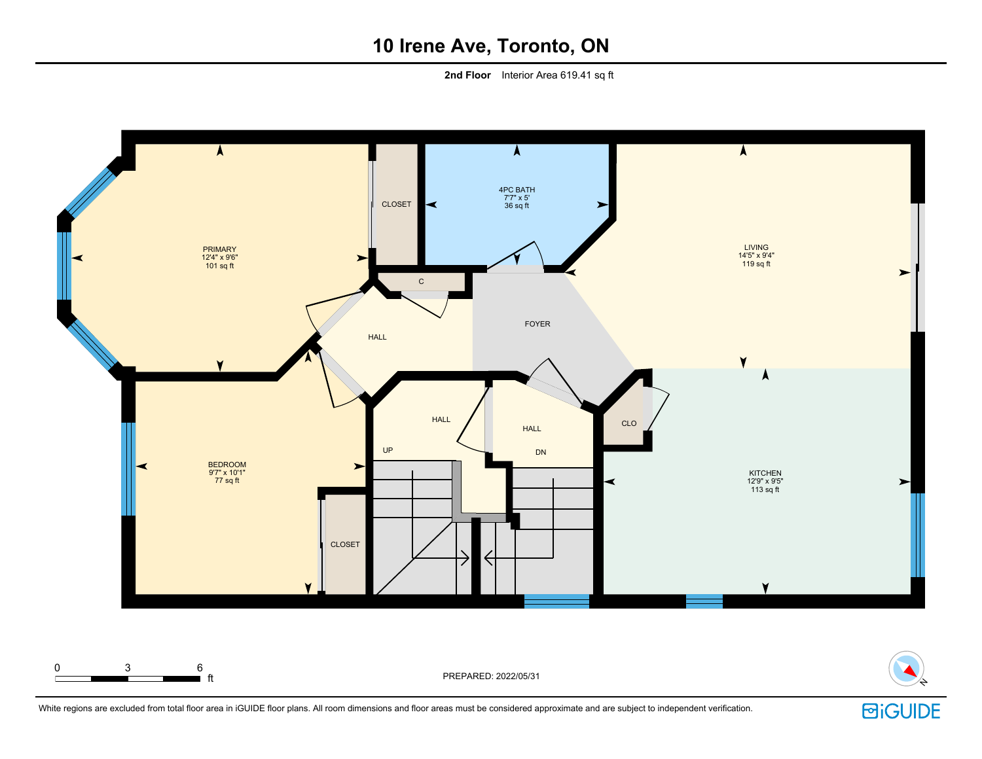**2nd Floor** Interior Area 619.41 sq ft





÷.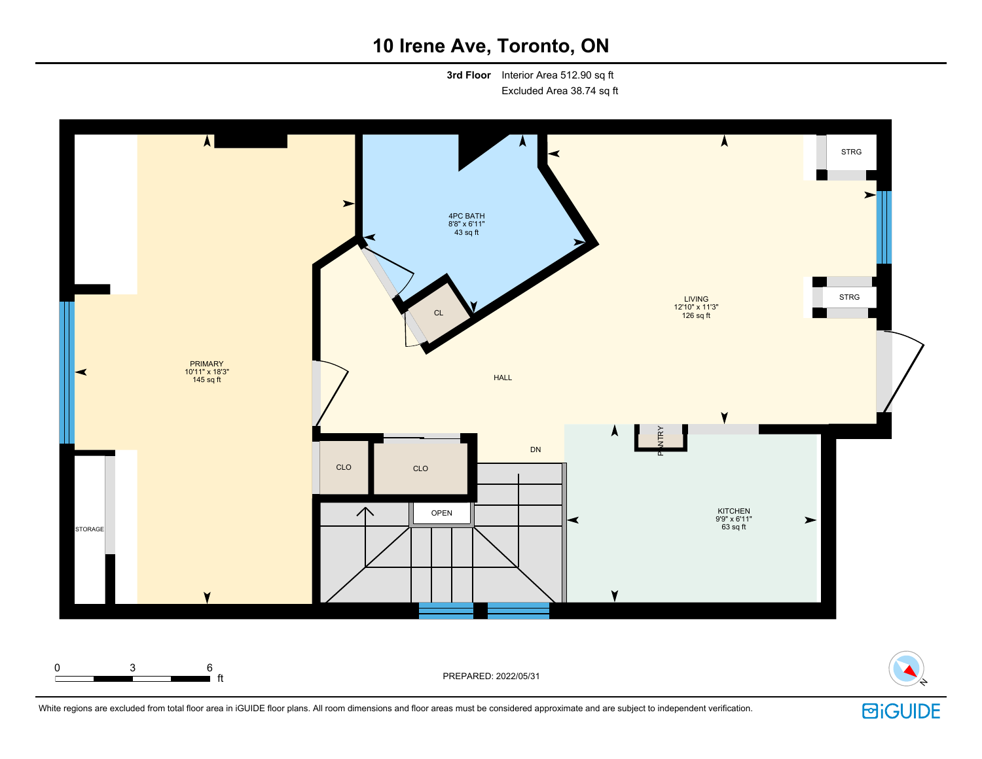**3rd Floor** Interior Area 512.90 sq ft Excluded Area 38.74 sq ft



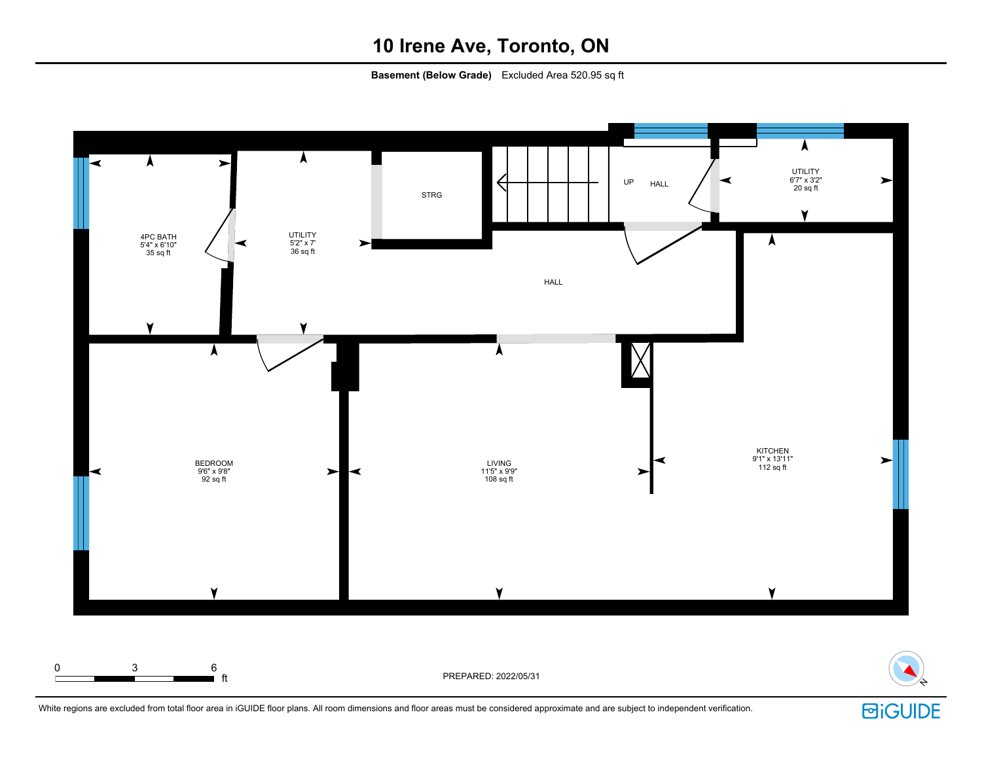**Basement (Below Grade)** Excluded Area 520.95 sq ft



White regions are excluded from total floor area in iGUIDE floor plans. All room dimensions and floor areas must be considered approximate and are subject to independent verification.

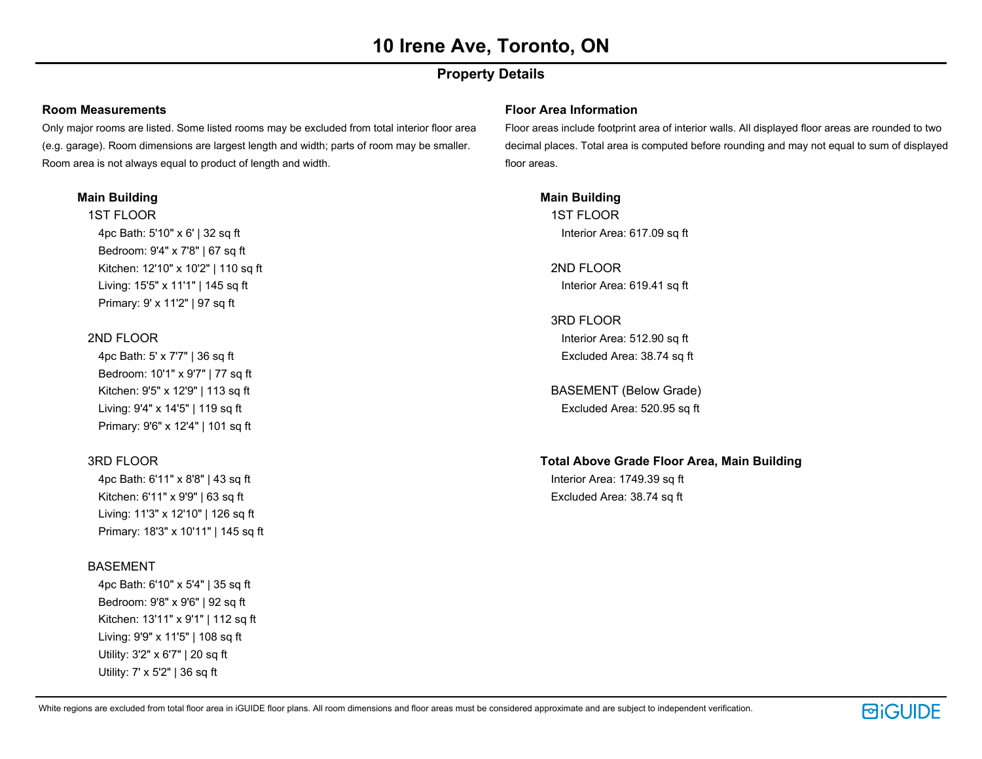### **Property Details**

#### **Room Measurements**

Only major rooms are listed. Some listed rooms may be excluded from total interior floor area (e.g. garage). Room dimensions are largest length and width; parts of room may be smaller. Room area is not always equal to product of length and width.

### **Main Building**

1ST FLOOR 4pc Bath: 5'10" x 6' | 32 sq ft Bedroom: 9'4" x 7'8" | 67 sq ft Kitchen: 12'10" x 10'2" | 110 sq ft Living: 15'5" x 11'1" | 145 sq ft Primary: 9' x 11'2" | 97 sq ft

### 2ND FLOOR

4pc Bath: 5' x 7'7" | 36 sq ft Bedroom: 10'1" x 9'7" | 77 sq ft Kitchen: 9'5" x 12'9" | 113 sq ft Living: 9'4" x 14'5" | 119 sq ft Primary: 9'6" x 12'4" | 101 sq ft

### 3RD FLOOR

4pc Bath: 6'11" x 8'8" | 43 sq ft Kitchen: 6'11" x 9'9" | 63 sq ft Living: 11'3" x 12'10" | 126 sq ft Primary: 18'3" x 10'11" | 145 sq ft

### BASEMENT

4pc Bath: 6'10" x 5'4" | 35 sq ft Bedroom: 9'8" x 9'6" | 92 sq ft Kitchen: 13'11" x 9'1" | 112 sq ft Living: 9'9" x 11'5" | 108 sq ft Utility: 3'2" x 6'7" | 20 sq ft Utility: 7' x 5'2" | 36 sq ft

#### **Floor Area Information**

Floor areas include footprint area of interior walls. All displayed floor areas are rounded to two decimal places. Total area is computed before rounding and may not equal to sum of displayed floor areas.

**Main Building** 1ST FLOOR Interior Area: 617.09 sq ft

2ND FLOOR Interior Area: 619.41 sq ft

3RD FLOOR Interior Area: 512.90 sq ft Excluded Area: 38.74 sq ft

BASEMENT (Below Grade) Excluded Area: 520.95 sq ft

### **Total Above Grade Floor Area, Main Building**

Interior Area: 1749.39 sq ft Excluded Area: 38.74 sq ft

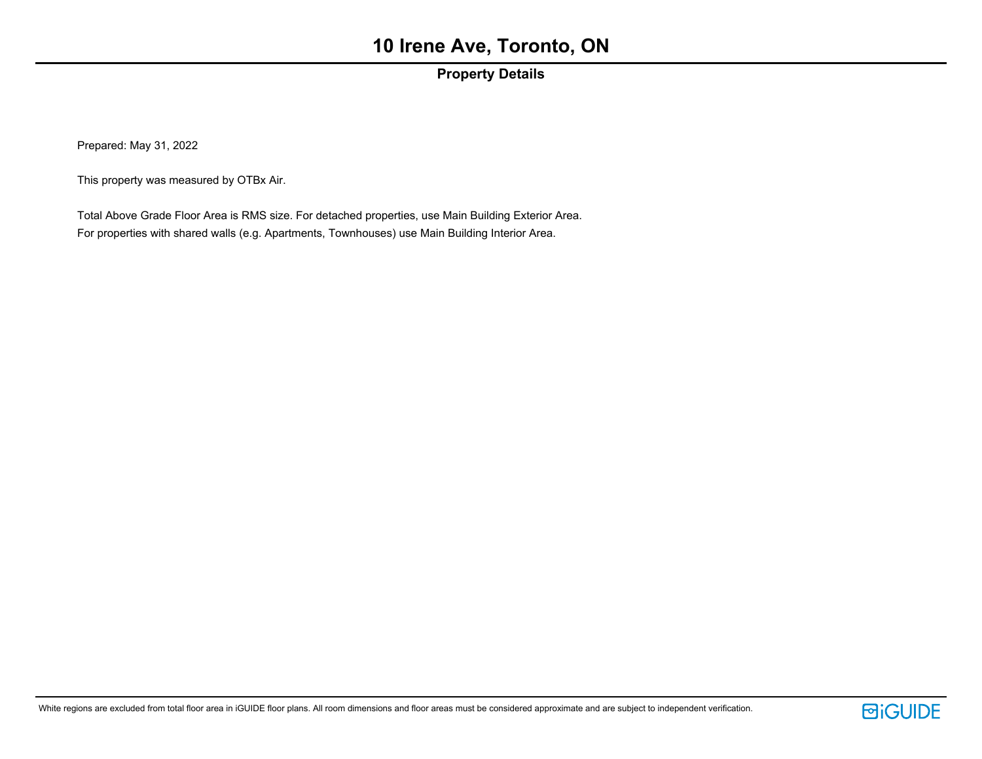### **Property Details**

Prepared: May 31, 2022

This property was measured by OTBx Air.

Total Above Grade Floor Area is RMS size. For detached properties, use Main Building Exterior Area. For properties with shared walls (e.g. Apartments, Townhouses) use Main Building Interior Area.

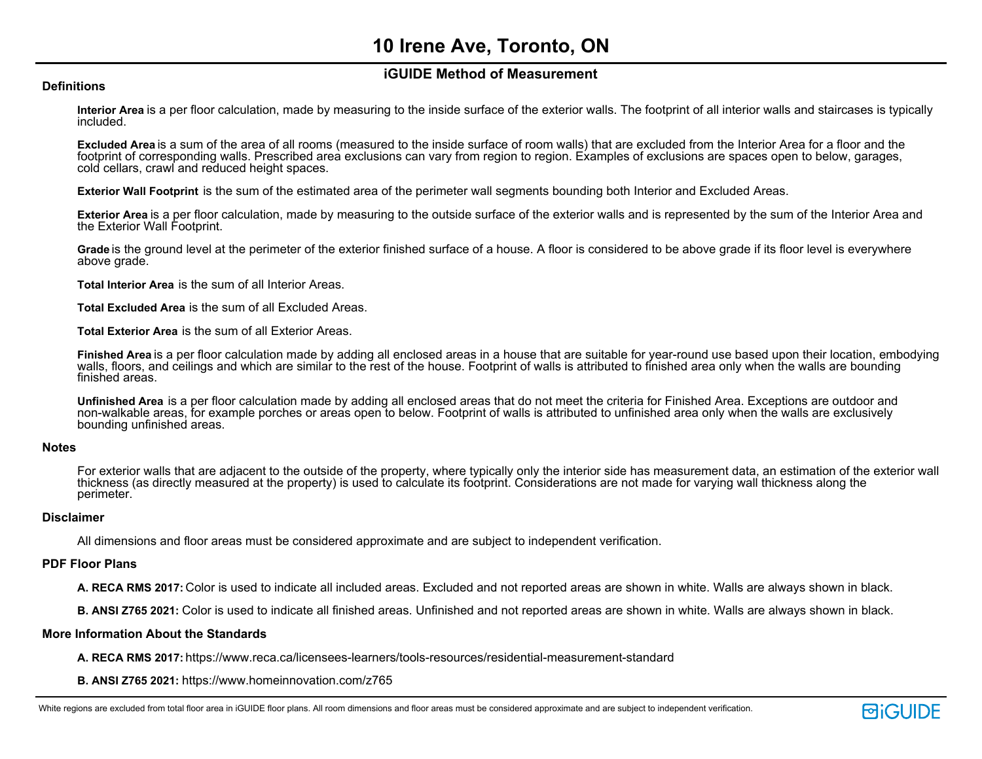### **iGUIDE Method of Measurement**

#### **Definitions**

**Interior Area** is a per floor calculation, made by measuring to the inside surface of the exterior walls. The footprint of all interior walls and staircases is typically included.

**Excluded Area** is a sum of the area of all rooms (measured to the inside surface of room walls) that are excluded from the Interior Area for a floor and the footprint of corresponding walls. Prescribed area exclusions can vary from region to region. Examples of exclusions are spaces open to below, garages, cold cellars, crawl and reduced height spaces.

**Exterior Wall Footprint** is the sum of the estimated area of the perimeter wall segments bounding both Interior and Excluded Areas.

**Exterior Area** is a per floor calculation, made by measuring to the outside surface of the exterior walls and is represented by the sum of the Interior Area and the Exterior Wall Footprint.

**Grade** is the ground level at the perimeter of the exterior finished surface of a house. A floor is considered to be above grade if its floor level is everywhere above grade.

**Total Interior Area** is the sum of all Interior Areas.

**Total Excluded Area** is the sum of all Excluded Areas.

**Total Exterior Area** is the sum of all Exterior Areas.

**Finished Area** is a per floor calculation made by adding all enclosed areas in a house that are suitable for year-round use based upon their location, embodying walls, floors, and ceilings and which are similar to the rest of the house. Footprint of walls is attributed to finished area only when the walls are bounding finished areas.

**Unfinished Area** is a per floor calculation made by adding all enclosed areas that do not meet the criteria for Finished Area. Exceptions are outdoor and non-walkable areas, for example porches or areas open to below. Footprint of walls is attributed to unfinished area only when the walls are exclusively bounding unfinished areas.

#### **Notes**

For exterior walls that are adjacent to the outside of the property, where typically only the interior side has measurement data, an estimation of the exterior wall thickness (as directly measured at the property) is used to calculate its footprint. Considerations are not made for varying wall thickness along the perimeter.

#### **Disclaimer**

All dimensions and floor areas must be considered approximate and are subject to independent verification.

#### **PDF Floor Plans**

**A. RECA RMS 2017:** Color is used to indicate all included areas. Excluded and not reported areas are shown in white. Walls are always shown in black.

**B. ANSI Z765 2021:** Color is used to indicate all finished areas. Unfinished and not reported areas are shown in white. Walls are always shown in black.

#### **More Information About the Standards**

**A. RECA RMS 2017:** https://www.reca.ca/licensees-learners/tools-resources/residential-measurement-standard

**B. ANSI Z765 2021:** https://www.homeinnovation.com/z765

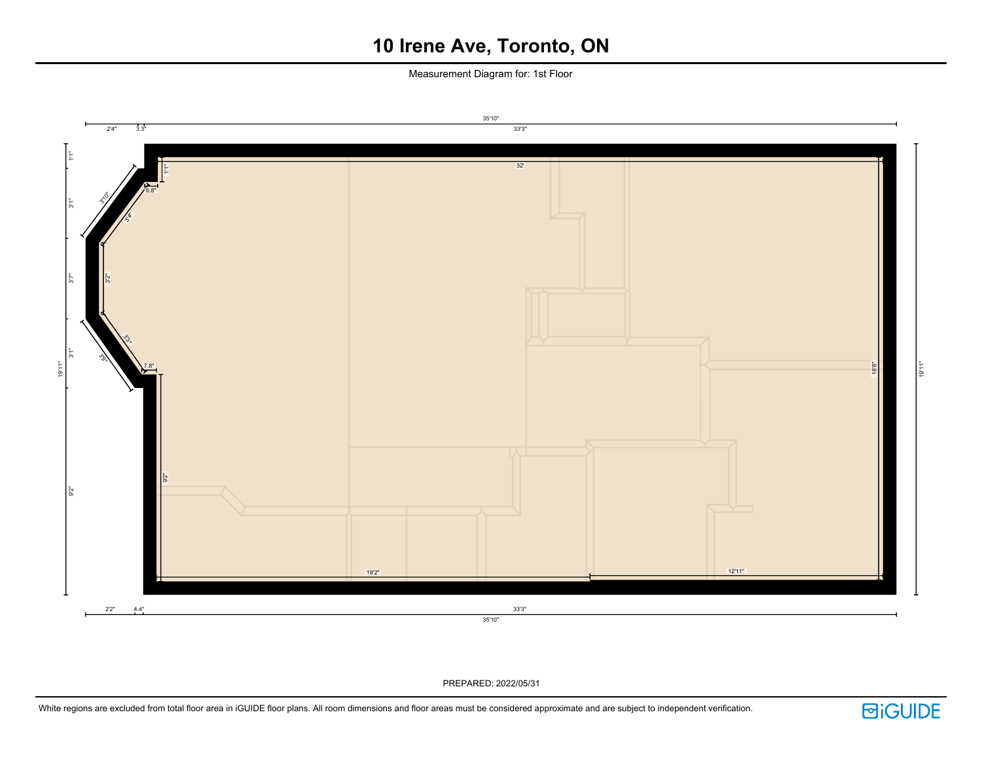Measurement Diagram for: 1st Floor



PREPARED: 2022/05/31

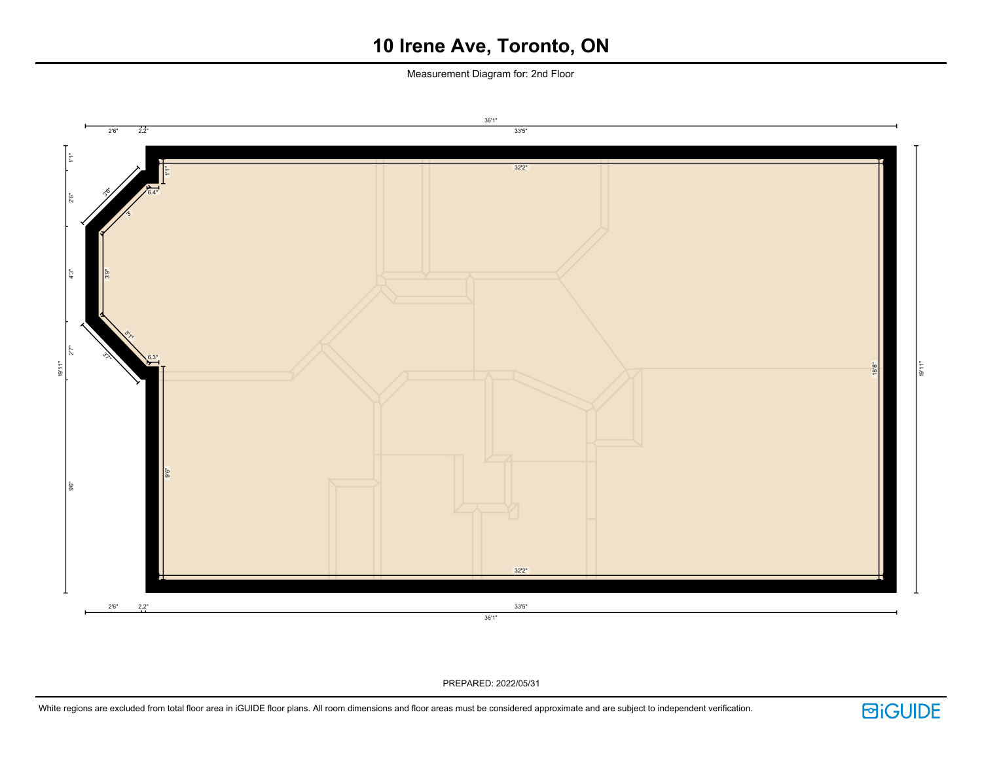Measurement Diagram for: 2nd Floor



PREPARED: 2022/05/31

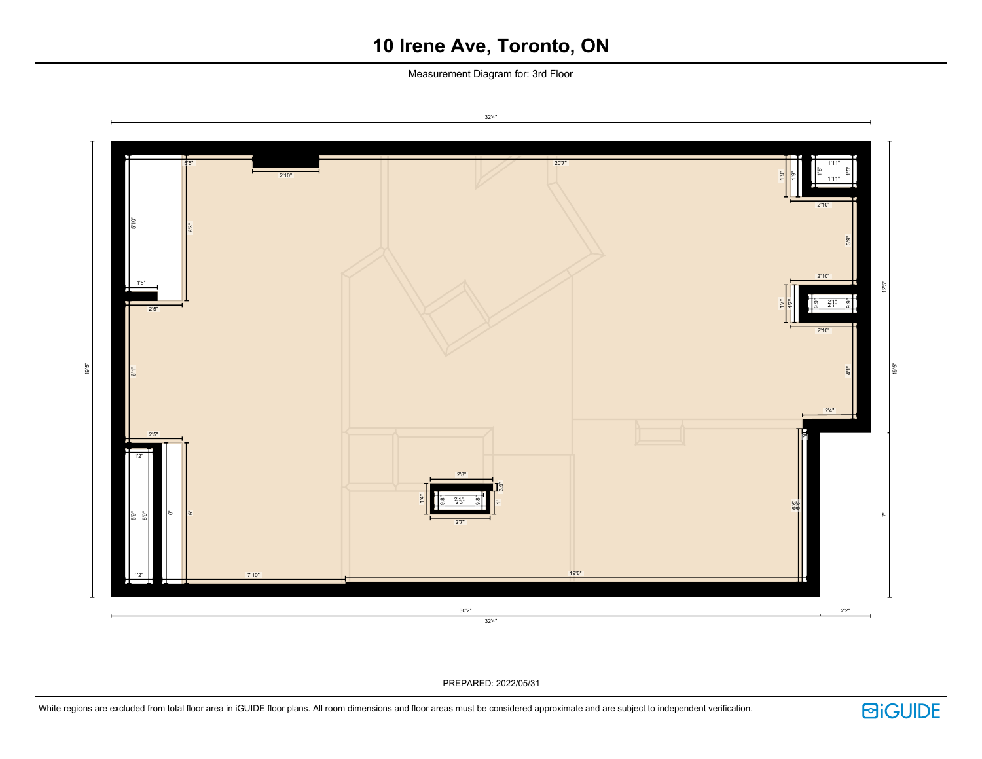Measurement Diagram for: 3rd Floor



PREPARED: 2022/05/31